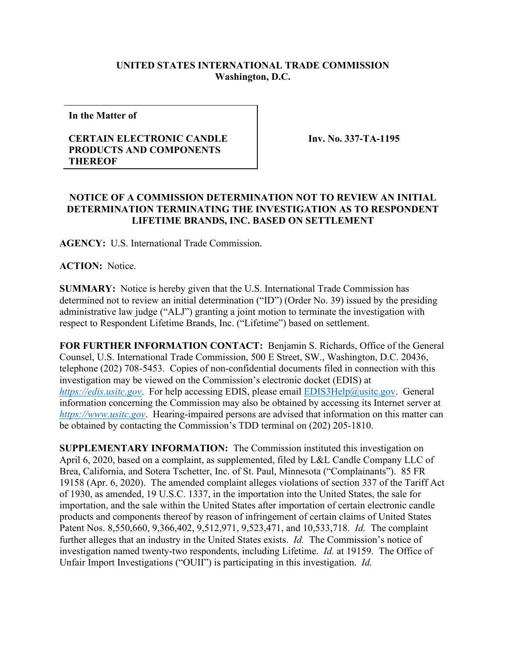## **UNITED STATES INTERNATIONAL TRADE COMMISSION Washington, D.C.**

**In the Matter of**

## **CERTAIN ELECTRONIC CANDLE PRODUCTS AND COMPONENTS THEREOF**

**Inv. No. 337-TA-1195**

## **NOTICE OF A COMMISSION DETERMINATION NOT TO REVIEW AN INITIAL DETERMINATION TERMINATING THE INVESTIGATION AS TO RESPONDENT LIFETIME BRANDS, INC. BASED ON SETTLEMENT**

**AGENCY:** U.S. International Trade Commission.

**ACTION:** Notice.

**SUMMARY:** Notice is hereby given that the U.S. International Trade Commission has determined not to review an initial determination ("ID") (Order No. 39) issued by the presiding administrative law judge ("ALJ") granting a joint motion to terminate the investigation with respect to Respondent Lifetime Brands, Inc. ("Lifetime") based on settlement.

**FOR FURTHER INFORMATION CONTACT:** Benjamin S. Richards, Office of the General Counsel, U.S. International Trade Commission, 500 E Street, SW., Washington, D.C. 20436, telephone (202) 708-5453. Copies of non-confidential documents filed in connection with this investigation may be viewed on the Commission's electronic docket (EDIS) at *[https://edis.usitc.gov](https://edis.usitc.gov/)*. For help accessing EDIS, please email [EDIS3Help@usitc.gov.](mailto:EDIS3Help@usitc.gov) General information concerning the Commission may also be obtained by accessing its Internet server at *[https://www.usitc.gov](https://www.usitc.gov/)*. Hearing-impaired persons are advised that information on this matter can be obtained by contacting the Commission's TDD terminal on (202) 205-1810.

**SUPPLEMENTARY INFORMATION:** The Commission instituted this investigation on April 6, 2020, based on a complaint, as supplemented, filed by L&L Candle Company LLC of Brea, California, and Sotera Tschetter, Inc. of St. Paul, Minnesota ("Complainants"). 85 FR 19158 (Apr. 6, 2020). The amended complaint alleges violations of section 337 of the Tariff Act of 1930, as amended, 19 U.S.C. 1337, in the importation into the United States, the sale for importation, and the sale within the United States after importation of certain electronic candle products and components thereof by reason of infringement of certain claims of United States Patent Nos. 8,550,660, 9,366,402, 9,512,971, 9,523,471, and 10,533,718. *Id.* The complaint further alleges that an industry in the United States exists. *Id.* The Commission's notice of investigation named twenty-two respondents, including Lifetime. *Id.* at 19159. The Office of Unfair Import Investigations ("OUII") is participating in this investigation. *Id.*